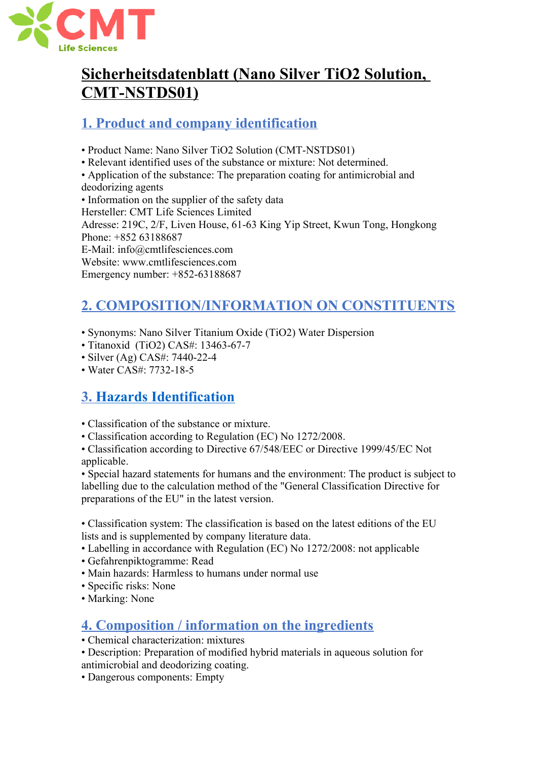

# **Sicherheitsdatenblatt (Nano Silver TiO2 Solution, CMT-NSTDS01)**

# **1. Product and company identification**

• Product Name: Nano Silver TiO2 Solution (CMT-NSTDS01)

• Relevant identified uses of the substance or mixture: Not determined.

• Application of the substance: The preparation coating for antimicrobial and

deodorizing agents • Information on the supplier of the safety data Hersteller: CMT Life Sciences Limited Adresse: 219C, 2/F, Liven House, 61-63 King Yip Street, Kwun Tong, Hongkong Phone: +852 63188687 E-Mail: info@cmtlifesciences.com Website: www.cmtlifesciences.com Emergency number: +852-63188687

# **2. COMPOSITION/INFORMATION ON CONSTITUENTS**

- Synonyms: Nano Silver Titanium Oxide (TiO2) Water Dispersion
- Titanoxid (TiO2) CAS#: 13463-67-7
- Silver (Ag) CAS#: 7440-22-4
- Water CAS#: 7732-18-5

# **3. Hazards Identification**

- Classification of the substance or mixture.
- Classification according to Regulation (EC) No 1272/2008.

• Classification according to Directive 67/548/EEC or Directive 1999/45/EC Not applicable.

• Special hazard statements for humans and the environment: The product is subject to labelling due to the calculation method of the "General Classification Directive for preparations of the EU" in the latest version.

• Classification system: The classification is based on the latest editions of the EU lists and is supplemented by company literature data.

- Labelling in accordance with Regulation (EC) No 1272/2008: not applicable
- Gefahrenpiktogramme: Read
- Main hazards: Harmless to humans under normal use
- Specific risks: None
- Marking: None

# **4. Composition / information on the ingredients**

- Chemical characterization: mixtures
- Description: Preparation of modified hybrid materials in aqueous solution for antimicrobial and deodorizing coating.
- Dangerous components: Empty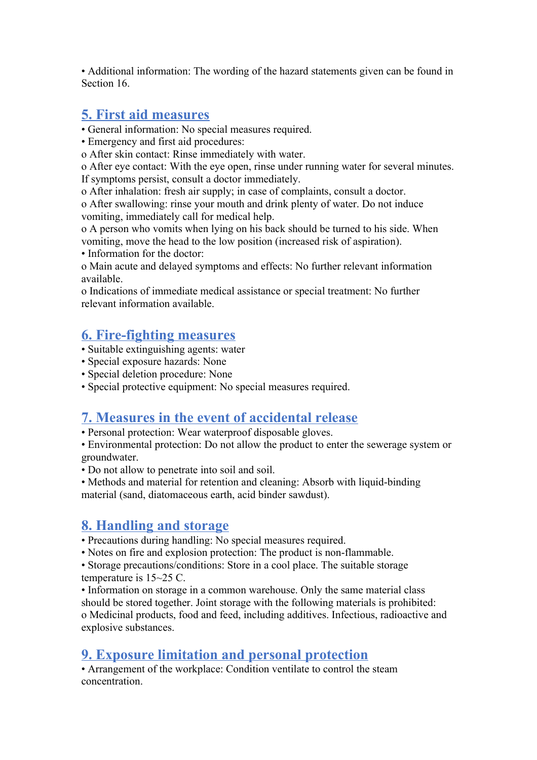• Additional information: The wording of the hazard statements given can be found in Section 16.

#### **5. First aid measures**

- General information: No special measures required.
- Emergency and first aid procedures:

o After skin contact: Rinse immediately with water.

o After eye contact: With the eye open, rinse under running water for several minutes. If symptoms persist, consult a doctor immediately.

o After inhalation: fresh air supply; in case of complaints, consult a doctor.

o After swallowing: rinse your mouth and drink plenty of water. Do not induce vomiting, immediately call for medical help.

o A person who vomits when lying on his back should be turned to his side. When vomiting, move the head to the low position (increased risk of aspiration).

• Information for the doctor:

o Main acute and delayed symptoms and effects: No further relevant information available.

o Indications of immediate medical assistance or special treatment: No further relevant information available.

#### **6. Fire-fighting measures**

- Suitable extinguishing agents: water
- Special exposure hazards: None
- Special deletion procedure: None
- Special protective equipment: No special measures required.

#### **7. Measures in the event of accidental release**

• Personal protection: Wear waterproof disposable gloves.

• Environmental protection: Do not allow the product to enter the sewerage system or groundwater.

• Do not allow to penetrate into soil and soil.

• Methods and material for retention and cleaning: Absorb with liquid-binding material (sand, diatomaceous earth, acid binder sawdust).

#### **8. Handling and storage**

- Precautions during handling: No special measures required.
- Notes on fire and explosion protection: The product is non-flammable.

• Storage precautions/conditions: Store in a cool place. The suitable storage temperature is 15~25 C.

• Information on storage in a common warehouse. Only the same material class should be stored together. Joint storage with the following materials is prohibited: o Medicinal products, food and feed, including additives. Infectious, radioactive and explosive substances.

#### **9. Exposure limitation and personal protection**

• Arrangement of the workplace: Condition ventilate to control the steam concentration.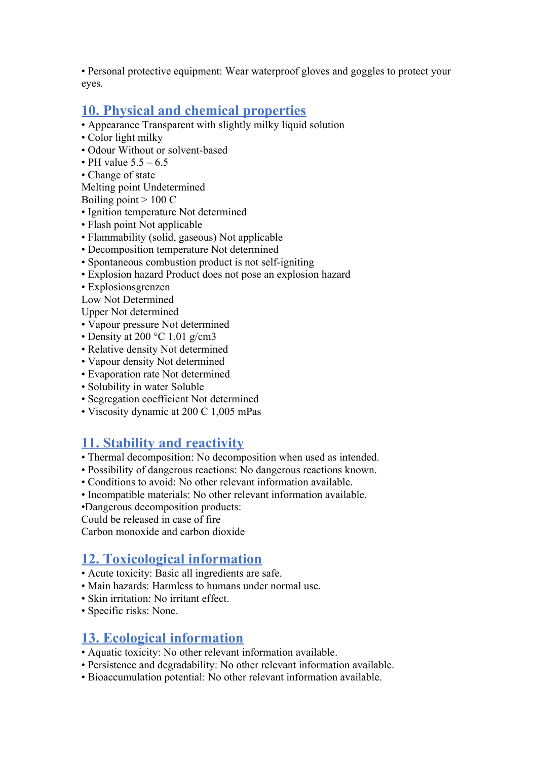• Personal protective equipment: Wear waterproof gloves and goggles to protect your eyes.

#### **10. Physical and chemical properties**

- Appearance Transparent with slightly milky liquid solution
- Color light milky
- Odour Without or solvent-based
- PH value  $5.5 6.5$
- Change of state

Melting point Undetermined

Boiling point  $> 100 C$ 

- Ignition temperature Not determined
- Flash point Not applicable
- Flammability (solid, gaseous) Not applicable
- Decomposition temperature Not determined
- Spontaneous combustion product is not self-igniting
- Explosion hazard Product does not pose an explosion hazard
- Explosionsgrenzen

Low Not Determined

Upper Not determined

- Vapour pressure Not determined
- Density at 200  $\degree$ C 1.01 g/cm3
- Relative density Not determined
- Vapour density Not determined
- Evaporation rate Not determined
- Solubility in water Soluble
- Segregation coefficient Not determined
- Viscosity dynamic at 200 C 1,005 mPas

#### **11. Stability and reactivity**

- Thermal decomposition: No decomposition when used as intended.
- Possibility of dangerous reactions: No dangerous reactions known.
- Conditions to avoid: No other relevant information available.
- Incompatible materials: No other relevant information available.

•Dangerous decomposition products:

Could be released in case of fire

Carbon monoxide and carbon dioxide

### **12. Toxicological information**

- Acute toxicity: Basic all ingredients are safe.
- Main hazards: Harmless to humans under normal use.
- Skin irritation: No irritant effect.
- Specific risks: None.

#### **13. Ecological information**

- Aquatic toxicity: No other relevant information available.
- Persistence and degradability: No other relevant information available.
- Bioaccumulation potential: No other relevant information available.